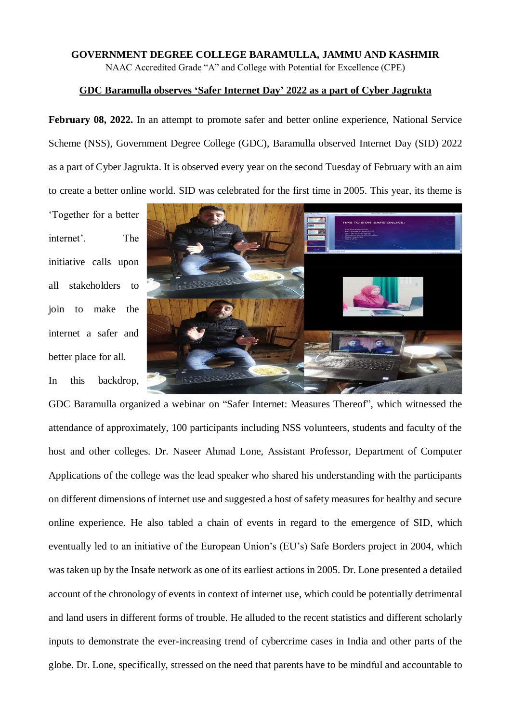## **GOVERNMENT DEGREE COLLEGE BARAMULLA, JAMMU AND KASHMIR** NAAC Accredited Grade "A" and College with Potential for Excellence (CPE)

## **GDC Baramulla observes 'Safer Internet Day' 2022 as a part of Cyber Jagrukta**

**February 08, 2022.** In an attempt to promote safer and better online experience, National Service Scheme (NSS), Government Degree College (GDC), Baramulla observed Internet Day (SID) 2022 as a part of Cyber Jagrukta. It is observed every year on the second Tuesday of February with an aim to create a better online world. SID was celebrated for the first time in 2005. This year, its theme is

'Together for a better internet'. The initiative calls upon all stakeholders to join to make the internet a safer and better place for all. In this backdrop,



GDC Baramulla organized a webinar on "Safer Internet: Measures Thereof", which witnessed the attendance of approximately, 100 participants including NSS volunteers, students and faculty of the host and other colleges. Dr. Naseer Ahmad Lone, Assistant Professor, Department of Computer Applications of the college was the lead speaker who shared his understanding with the participants on different dimensions of internet use and suggested a host of safety measures for healthy and secure online experience. He also tabled a chain of events in regard to the emergence of SID, which eventually led to an initiative of the European Union's (EU's) Safe Borders project in 2004, which was taken up by the Insafe network as one of its earliest actions in 2005. Dr. Lone presented a detailed account of the chronology of events in context of internet use, which could be potentially detrimental and land users in different forms of trouble. He alluded to the recent statistics and different scholarly inputs to demonstrate the ever-increasing trend of cybercrime cases in India and other parts of the globe. Dr. Lone, specifically, stressed on the need that parents have to be mindful and accountable to